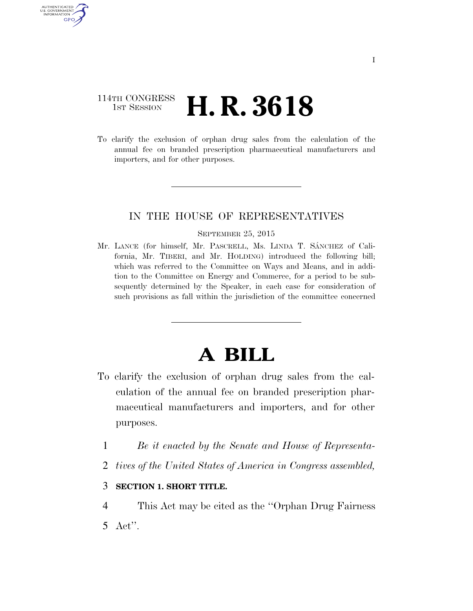## 114TH CONGRESS 1st Session **H. R. 3618**

AUTHENTICATED U.S. GOVERNMENT GPO

> To clarify the exclusion of orphan drug sales from the calculation of the annual fee on branded prescription pharmaceutical manufacturers and importers, and for other purposes.

### IN THE HOUSE OF REPRESENTATIVES

#### SEPTEMBER 25, 2015

Mr. LANCE (for himself, Mr. PASCRELL, Ms. LINDA T. SÁNCHEZ of California, Mr. TIBERI, and Mr. HOLDING) introduced the following bill; which was referred to the Committee on Ways and Means, and in addition to the Committee on Energy and Commerce, for a period to be subsequently determined by the Speaker, in each case for consideration of such provisions as fall within the jurisdiction of the committee concerned

# **A BILL**

- To clarify the exclusion of orphan drug sales from the calculation of the annual fee on branded prescription pharmaceutical manufacturers and importers, and for other purposes.
	- 1 *Be it enacted by the Senate and House of Representa-*
	- 2 *tives of the United States of America in Congress assembled,*

### 3 **SECTION 1. SHORT TITLE.**

4 This Act may be cited as the ''Orphan Drug Fairness 5 Act''.